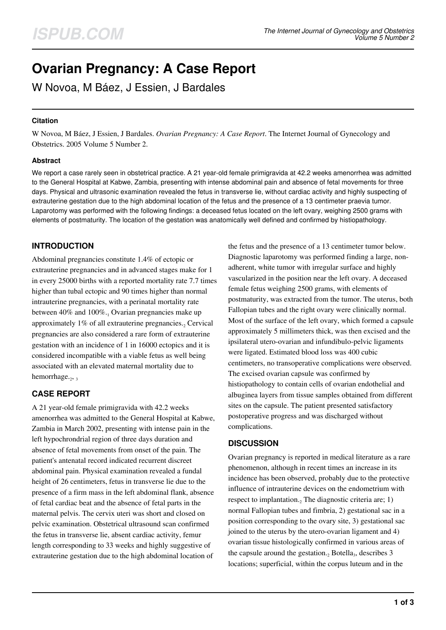# **Ovarian Pregnancy: A Case Report**

W Novoa, M Báez, J Essien, J Bardales

## **Citation**

W Novoa, M Báez, J Essien, J Bardales. *Ovarian Pregnancy: A Case Report*. The Internet Journal of Gynecology and Obstetrics. 2005 Volume 5 Number 2.

### **Abstract**

We report a case rarely seen in obstetrical practice. A 21 year-old female primigravida at 42.2 weeks amenorrhea was admitted to the General Hospital at Kabwe, Zambia, presenting with intense abdominal pain and absence of fetal movements for three days. Physical and ultrasonic examination revealed the fetus in transverse lie, without cardiac activity and highly suspecting of extrauterine gestation due to the high abdominal location of the fetus and the presence of a 13 centimeter praevia tumor. Laparotomy was performed with the following findings: a deceased fetus located on the left ovary, weighing 2500 grams with elements of postmaturity. The location of the gestation was anatomically well defined and confirmed by histiopathology.

# **INTRODUCTION**

Abdominal pregnancies constitute 1.4% of ectopic or extrauterine pregnancies and in advanced stages make for 1 in every 25000 births with a reported mortality rate 7.7 times higher than tubal ectopic and 90 times higher than normal intrauterine pregnancies, with a perinatal mortality rate between 40% and 100%.1 Ovarian pregnancies make up approximately  $1\%$  of all extrauterine pregnancies.<sub>2</sub> Cervical pregnancies are also considered a rare form of extrauterine gestation with an incidence of 1 in 16000 ectopics and it is considered incompatible with a viable fetus as well being associated with an elevated maternal mortality due to hemorrhage.<sub>2,3</sub>

# **CASE REPORT**

A 21 year-old female primigravida with 42.2 weeks amenorrhea was admitted to the General Hospital at Kabwe, Zambia in March 2002, presenting with intense pain in the left hypochrondrial region of three days duration and absence of fetal movements from onset of the pain. The patient's antenatal record indicated recurrent discreet abdominal pain. Physical examination revealed a fundal height of 26 centimeters, fetus in transverse lie due to the presence of a firm mass in the left abdominal flank, absence of fetal cardiac beat and the absence of fetal parts in the maternal pelvis. The cervix uteri was short and closed on pelvic examination. Obstetrical ultrasound scan confirmed the fetus in transverse lie, absent cardiac activity, femur length corresponding to 33 weeks and highly suggestive of extrauterine gestation due to the high abdominal location of

the fetus and the presence of a 13 centimeter tumor below. Diagnostic laparotomy was performed finding a large, nonadherent, white tumor with irregular surface and highly vascularized in the position near the left ovary. A deceased female fetus weighing 2500 grams, with elements of postmaturity, was extracted from the tumor. The uterus, both Fallopian tubes and the right ovary were clinically normal. Most of the surface of the left ovary, which formed a capsule approximately 5 millimeters thick, was then excised and the ipsilateral utero-ovarian and infundibulo-pelvic ligaments were ligated. Estimated blood loss was 400 cubic centimeters, no transoperative complications were observed. The excised ovarian capsule was confirmed by histiopathology to contain cells of ovarian endothelial and albuginea layers from tissue samples obtained from different sites on the capsule. The patient presented satisfactory postoperative progress and was discharged without complications.

## **DISCUSSION**

Ovarian pregnancy is reported in medical literature as a rare phenomenon, although in recent times an increase in its incidence has been observed, probably due to the protective influence of intrauterine devices on the endometrium with respect to implantation.<sub>2</sub> The diagnostic criteria are; 1) normal Fallopian tubes and fimbria, 2) gestational sac in a position corresponding to the ovary site, 3) gestational sac joined to the uterus by the utero-ovarian ligament and 4) ovarian tissue histologically confirmed in various areas of the capsule around the gestation.<sub>2</sub> Botella<sub>3</sub>, describes 3 locations; superficial, within the corpus luteum and in the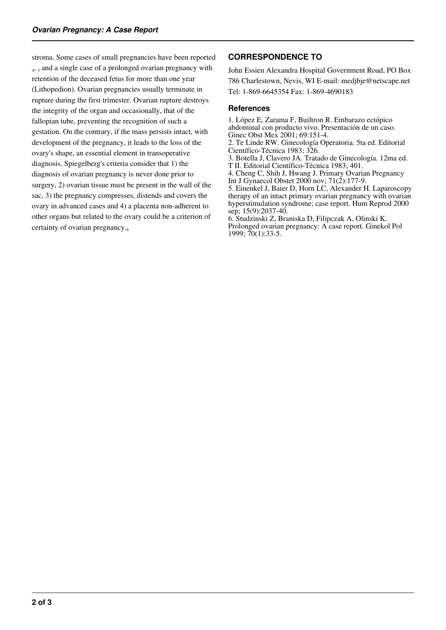stroma. Some cases of small pregnancies have been reported 4, 5 and a single case of a prolonged ovarian pregnancy with retention of the deceased fetus for more than one year (Lithopedion). Ovarian pregnancies usually terminate in rupture during the first trimester. Ovarian rupture destroys the integrity of the organ and occasionally, that of the fallopian tube, preventing the recognition of such a gestation. On the contrary, if the mass persists intact, with development of the pregnancy, it leads to the loss of the ovary's shape, an essential element in transoperative diagnosis. Spiegelberg's criteria consider that 1) the diagnosis of ovarian pregnancy is never done prior to surgery, 2) ovarian tissue must be present in the wall of the sac, 3) the pregnancy compresses, distends and covers the ovary in advanced cases and 4) a placenta non-adherent to other organs but related to the ovary could be a criterion of certainty of ovarian pregnancy.

## **CORRESPONDENCE TO**

John Essien Alexandra Hospital Government Road, PO Box 786 Charlestown, Nevis, WI E-mail: medjbje@netscape.net Tel: 1-869-6645354 Fax: 1-869-4690183

#### **References**

1. López E, Zarama F, Builtron R. Embarazo ectópico abdominal con producto vivo. Presentación de un caso. Ginec Obst Mex 2001; 69:151-4.

2. Te Linde RW. Ginecología Operatoria. 5ta ed. Editorial Científico-Técnica 1983; 326.

3. Botella J, Clavero JA. Tratado de Ginecología. 12ma ed. T II. Editorial Científico-Técnica 1983; 401.

4. Cheng C, Shih J, Hwang J. Primary Ovarian Pregnancy

Int J Gynaecol Obstet 2000 nov; 71(2):177-9. 5. Einenkel J, Baier D, Horn LC, Alexander H. Laparoscopy therapy of an intact primary ovarian pregnancy with ovarian hyperstimulation syndrome; case report. Hum Reprod 2000 sep; 15(9):2037-40.

6. Studzinski Z, Braniska D, Filipczak A, Olinski K. Prolonged ovarian pregnancy: A case report. Ginekol Pol 1999; 70(1):33-5.